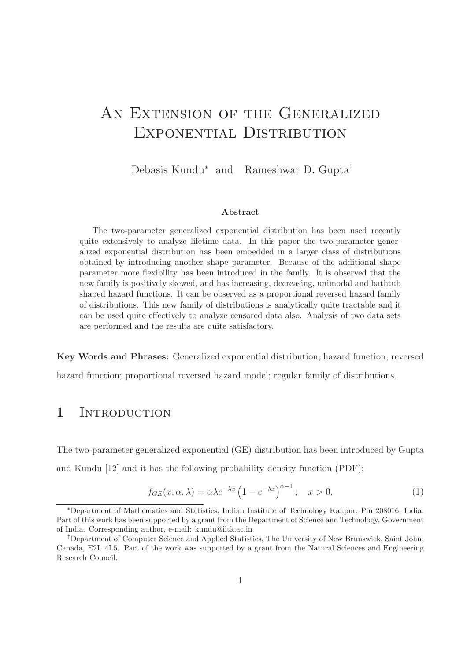# AN EXTENSION OF THE GENERALIZED Exponential Distribution

Debasis Kundu<sup>∗</sup> and Rameshwar D. Gupta†

#### Abstract

The two-parameter generalized exponential distribution has been used recently quite extensively to analyze lifetime data. In this paper the two-parameter generalized exponential distribution has been embedded in a larger class of distributions obtained by introducing another shape parameter. Because of the additional shape parameter more flexibility has been introduced in the family. It is observed that the new family is positively skewed, and has increasing, decreasing, unimodal and bathtub shaped hazard functions. It can be observed as a proportional reversed hazard family of distributions. This new family of distributions is analytically quite tractable and it can be used quite effectively to analyze censored data also. Analysis of two data sets are performed and the results are quite satisfactory.

Key Words and Phrases: Generalized exponential distribution; hazard function; reversed

hazard function; proportional reversed hazard model; regular family of distributions.

#### 1 INTRODUCTION

The two-parameter generalized exponential (GE) distribution has been introduced by Gupta and Kundu [12] and it has the following probability density function (PDF);

$$
f_{GE}(x; \alpha, \lambda) = \alpha \lambda e^{-\lambda x} \left( 1 - e^{-\lambda x} \right)^{\alpha - 1}; \quad x > 0.
$$
 (1)

<sup>∗</sup>Department of Mathematics and Statistics, Indian Institute of Technology Kanpur, Pin 208016, India. Part of this work has been supported by a grant from the Department of Science and Technology, Government of India. Corresponding author, e-mail: kundu@iitk.ac.in

<sup>†</sup>Department of Computer Science and Applied Statistics, The University of New Brunswick, Saint John, Canada, E2L 4L5. Part of the work was supported by a grant from the Natural Sciences and Engineering Research Council.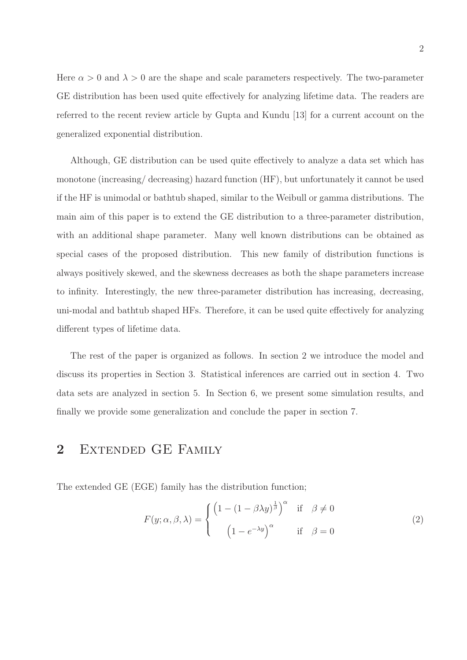Here  $\alpha > 0$  and  $\lambda > 0$  are the shape and scale parameters respectively. The two-parameter GE distribution has been used quite effectively for analyzing lifetime data. The readers are referred to the recent review article by Gupta and Kundu [13] for a current account on the generalized exponential distribution.

Although, GE distribution can be used quite effectively to analyze a data set which has monotone (increasing/ decreasing) hazard function (HF), but unfortunately it cannot be used if the HF is unimodal or bathtub shaped, similar to the Weibull or gamma distributions. The main aim of this paper is to extend the GE distribution to a three-parameter distribution, with an additional shape parameter. Many well known distributions can be obtained as special cases of the proposed distribution. This new family of distribution functions is always positively skewed, and the skewness decreases as both the shape parameters increase to infinity. Interestingly, the new three-parameter distribution has increasing, decreasing, uni-modal and bathtub shaped HFs. Therefore, it can be used quite effectively for analyzing different types of lifetime data.

The rest of the paper is organized as follows. In section 2 we introduce the model and discuss its properties in Section 3. Statistical inferences are carried out in section 4. Two data sets are analyzed in section 5. In Section 6, we present some simulation results, and finally we provide some generalization and conclude the paper in section 7.

# 2 EXTENDED GE FAMILY

The extended GE (EGE) family has the distribution function;

$$
F(y; \alpha, \beta, \lambda) = \begin{cases} \left(1 - (1 - \beta \lambda y)^{\frac{1}{\beta}}\right)^{\alpha} & \text{if } \beta \neq 0\\ \left(1 - e^{-\lambda y}\right)^{\alpha} & \text{if } \beta = 0 \end{cases}
$$
 (2)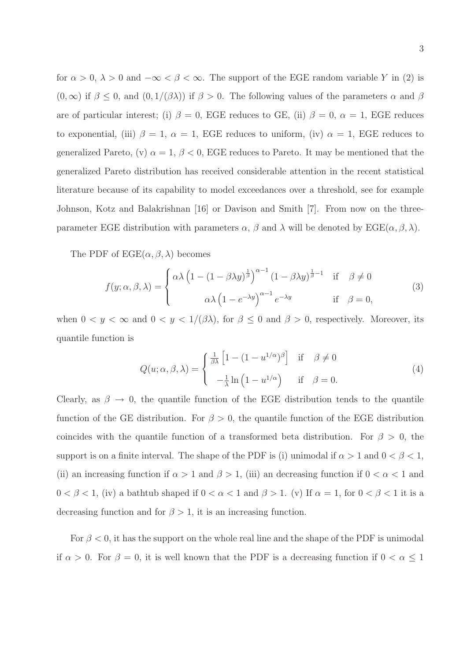for  $\alpha > 0$ ,  $\lambda > 0$  and  $-\infty < \beta < \infty$ . The support of the EGE random variable Y in (2) is  $(0, \infty)$  if  $\beta \leq 0$ , and  $(0, 1/(\beta \lambda))$  if  $\beta > 0$ . The following values of the parameters  $\alpha$  and  $\beta$ are of particular interest; (i)  $\beta = 0$ , EGE reduces to GE, (ii)  $\beta = 0$ ,  $\alpha = 1$ , EGE reduces to exponential, (iii)  $\beta = 1$ ,  $\alpha = 1$ , EGE reduces to uniform, (iv)  $\alpha = 1$ , EGE reduces to generalized Pareto, (v)  $\alpha = 1, \beta < 0$ , EGE reduces to Pareto. It may be mentioned that the generalized Pareto distribution has received considerable attention in the recent statistical literature because of its capability to model exceedances over a threshold, see for example Johnson, Kotz and Balakrishnan [16] or Davison and Smith [7]. From now on the threeparameter EGE distribution with parameters  $\alpha$ ,  $\beta$  and  $\lambda$  will be denoted by EGE( $\alpha$ ,  $\beta$ ,  $\lambda$ ).

The PDF of  $\text{EGE}(\alpha, \beta, \lambda)$  becomes

$$
f(y; \alpha, \beta, \lambda) = \begin{cases} \alpha \lambda \left(1 - (1 - \beta \lambda y)^{\frac{1}{\beta}}\right)^{\alpha - 1} (1 - \beta \lambda y)^{\frac{1}{\beta} - 1} & \text{if } \beta \neq 0\\ \alpha \lambda \left(1 - e^{-\lambda y}\right)^{\alpha - 1} e^{-\lambda y} & \text{if } \beta = 0, \end{cases}
$$
(3)

when  $0 < y < \infty$  and  $0 < y < 1/(\beta \lambda)$ , for  $\beta \leq 0$  and  $\beta > 0$ , respectively. Moreover, its quantile function is

$$
Q(u; \alpha, \beta, \lambda) = \begin{cases} \frac{1}{\beta \lambda} \left[ 1 - (1 - u^{1/\alpha})^{\beta} \right] & \text{if } \beta \neq 0 \\ -\frac{1}{\lambda} \ln \left( 1 - u^{1/\alpha} \right) & \text{if } \beta = 0. \end{cases}
$$
(4)

Clearly, as  $\beta \to 0$ , the quantile function of the EGE distribution tends to the quantile function of the GE distribution. For  $\beta > 0$ , the quantile function of the EGE distribution coincides with the quantile function of a transformed beta distribution. For  $\beta > 0$ , the support is on a finite interval. The shape of the PDF is (i) unimodal if  $\alpha > 1$  and  $0 < \beta < 1$ , (ii) an increasing function if  $\alpha > 1$  and  $\beta > 1$ , (iii) an decreasing function if  $0 < \alpha < 1$  and  $0 < \beta < 1$ , (iv) a bathtub shaped if  $0 < \alpha < 1$  and  $\beta > 1$ . (v) If  $\alpha = 1$ , for  $0 < \beta < 1$  it is a decreasing function and for  $\beta > 1$ , it is an increasing function.

For  $\beta$  < 0, it has the support on the whole real line and the shape of the PDF is unimodal if  $\alpha > 0$ . For  $\beta = 0$ , it is well known that the PDF is a decreasing function if  $0 < \alpha \leq 1$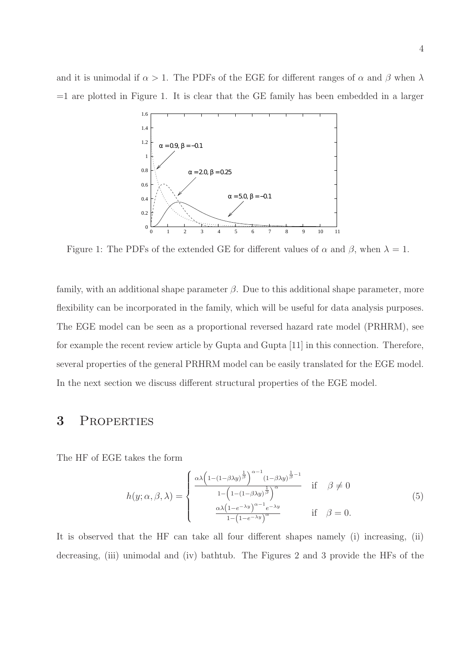and it is unimodal if  $\alpha > 1$ . The PDFs of the EGE for different ranges of  $\alpha$  and  $\beta$  when  $\lambda$  $=1$  are plotted in Figure 1. It is clear that the GE family has been embedded in a larger



Figure 1: The PDFs of the extended GE for different values of  $\alpha$  and  $\beta$ , when  $\lambda = 1$ .

family, with an additional shape parameter  $\beta$ . Due to this additional shape parameter, more flexibility can be incorporated in the family, which will be useful for data analysis purposes. The EGE model can be seen as a proportional reversed hazard rate model (PRHRM), see for example the recent review article by Gupta and Gupta [11] in this connection. Therefore, several properties of the general PRHRM model can be easily translated for the EGE model. In the next section we discuss different structural properties of the EGE model.

#### 3 Properties

The HF of EGE takes the form

$$
h(y; \alpha, \beta, \lambda) = \begin{cases} \frac{\alpha \lambda \left(1 - (1 - \beta \lambda y)^{\frac{1}{\beta}}\right)^{\alpha - 1} (1 - \beta \lambda y)^{\frac{1}{\beta} - 1}}{1 - \left(1 - (1 - \beta \lambda y)^{\frac{1}{\beta}}\right)^{\alpha}} & \text{if } \beta \neq 0\\ \frac{\alpha \lambda \left(1 - e^{-\lambda y}\right)^{\alpha - 1} e^{-\lambda y}}{1 - \left(1 - e^{-\lambda y}\right)^{\alpha}} & \text{if } \beta = 0. \end{cases}
$$
(5)

It is observed that the HF can take all four different shapes namely (i) increasing, (ii) decreasing, (iii) unimodal and (iv) bathtub. The Figures 2 and 3 provide the HFs of the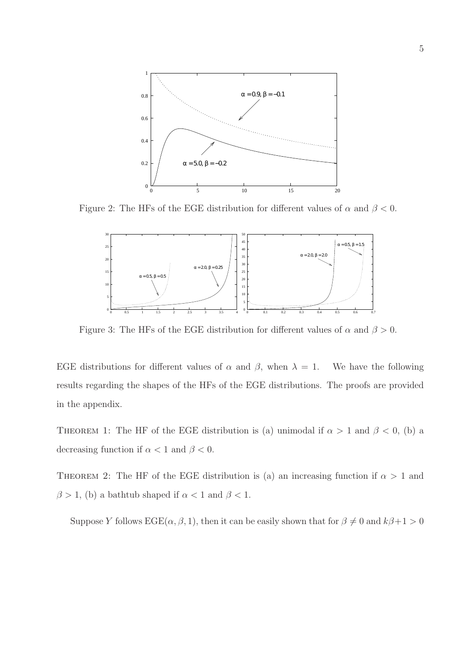

Figure 2: The HFs of the EGE distribution for different values of  $\alpha$  and  $\beta < 0$ .



Figure 3: The HFs of the EGE distribution for different values of  $\alpha$  and  $\beta > 0$ .

EGE distributions for different values of  $\alpha$  and  $\beta$ , when  $\lambda = 1$ . We have the following results regarding the shapes of the HFs of the EGE distributions. The proofs are provided in the appendix.

THEOREM 1: The HF of the EGE distribution is (a) unimodal if  $\alpha > 1$  and  $\beta < 0$ , (b) a decreasing function if  $\alpha < 1$  and  $\beta < 0$ .

THEOREM 2: The HF of the EGE distribution is (a) an increasing function if  $\alpha > 1$  and  $\beta > 1$ , (b) a bathtub shaped if  $\alpha < 1$  and  $\beta < 1$ .

Suppose Y follows  $\text{EGE}(\alpha, \beta, 1)$ , then it can be easily shown that for  $\beta \neq 0$  and  $k\beta + 1 > 0$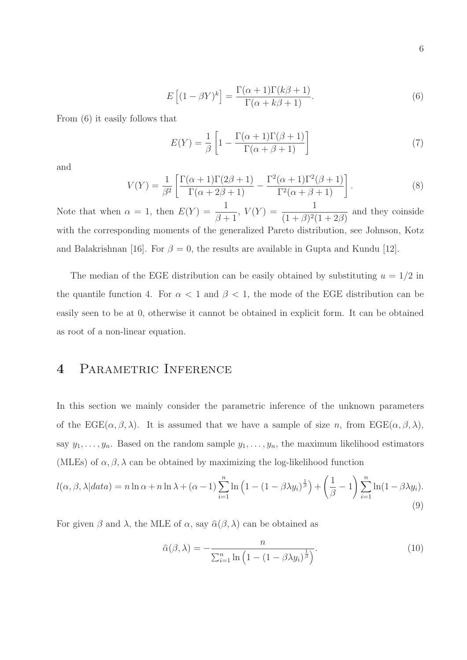$$
E\left[ (1 - \beta Y)^k \right] = \frac{\Gamma(\alpha + 1)\Gamma(k\beta + 1)}{\Gamma(\alpha + k\beta + 1)}.
$$
\n(6)

From (6) it easily follows that

$$
E(Y) = \frac{1}{\beta} \left[ 1 - \frac{\Gamma(\alpha + 1)\Gamma(\beta + 1)}{\Gamma(\alpha + \beta + 1)} \right]
$$
 (7)

and

$$
V(Y) = \frac{1}{\beta^2} \left[ \frac{\Gamma(\alpha+1)\Gamma(2\beta+1)}{\Gamma(\alpha+2\beta+1)} - \frac{\Gamma^2(\alpha+1)\Gamma^2(\beta+1)}{\Gamma^2(\alpha+\beta+1)} \right].
$$
 (8)

Note that when  $\alpha = 1$ , then  $E(Y) = \frac{1}{2\pi i}$  $\beta + 1$ ,  $V(Y) = \frac{1}{(1+Q)2}$  $(1 + \beta)^2 (1 + 2\beta)$ and they coinside with the corresponding moments of the generalized Pareto distribution, see Johnson, Kotz and Balakrishnan [16]. For  $\beta = 0$ , the results are available in Gupta and Kundu [12].

The median of the EGE distribution can be easily obtained by substituting  $u = 1/2$  in the quantile function 4. For  $\alpha < 1$  and  $\beta < 1$ , the mode of the EGE distribution can be easily seen to be at 0, otherwise it cannot be obtained in explicit form. It can be obtained as root of a non-linear equation.

# 4 Parametric Inference

In this section we mainly consider the parametric inference of the unknown parameters of the  $EGE(\alpha, \beta, \lambda)$ . It is assumed that we have a sample of size n, from  $EGE(\alpha, \beta, \lambda)$ , say  $y_1, \ldots, y_n$ . Based on the random sample  $y_1, \ldots, y_n$ , the maximum likelihood estimators (MLEs) of  $\alpha, \beta, \lambda$  can be obtained by maximizing the log-likelihood function

$$
l(\alpha, \beta, \lambda | data) = n \ln \alpha + n \ln \lambda + (\alpha - 1) \sum_{i=1}^{n} \ln \left( 1 - (1 - \beta \lambda y_i)^{\frac{1}{\beta}} \right) + \left( \frac{1}{\beta} - 1 \right) \sum_{i=1}^{n} \ln (1 - \beta \lambda y_i).
$$
\n(9)

For given  $\beta$  and  $\lambda$ , the MLE of  $\alpha$ , say  $\hat{\alpha}(\beta, \lambda)$  can be obtained as

$$
\widehat{\alpha}(\beta,\lambda) = -\frac{n}{\sum_{i=1}^{n} \ln\left(1 - (1 - \beta \lambda y_i)^{\frac{1}{\beta}}\right)}.
$$
\n(10)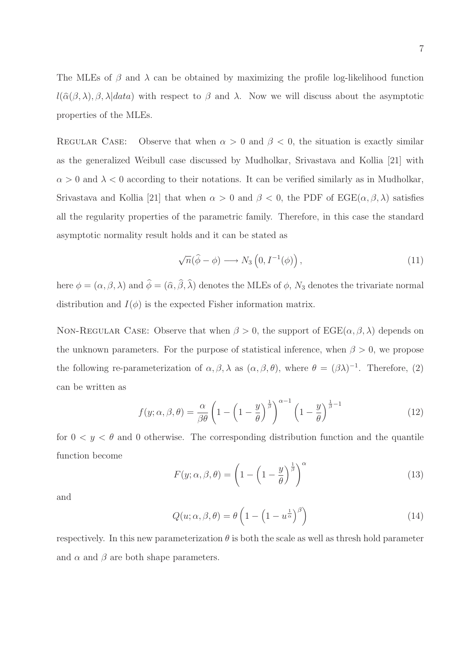The MLEs of  $\beta$  and  $\lambda$  can be obtained by maximizing the profile log-likelihood function  $l(\hat{\alpha}(\beta,\lambda), \beta, \lambda|data)$  with respect to  $\beta$  and  $\lambda$ . Now we will discuss about the asymptotic properties of the MLEs.

REGULAR CASE: Observe that when  $\alpha > 0$  and  $\beta < 0$ , the situation is exactly similar as the generalized Weibull case discussed by Mudholkar, Srivastava and Kollia [21] with  $\alpha > 0$  and  $\lambda < 0$  according to their notations. It can be verified similarly as in Mudholkar, Srivastava and Kollia [21] that when  $\alpha > 0$  and  $\beta < 0$ , the PDF of EGE( $\alpha, \beta, \lambda$ ) satisfies all the regularity properties of the parametric family. Therefore, in this case the standard asymptotic normality result holds and it can be stated as

$$
\sqrt{n}(\hat{\phi} - \phi) \longrightarrow N_3\left(0, I^{-1}(\phi)\right),\tag{11}
$$

here  $\phi = (\alpha, \beta, \lambda)$  and  $\phi = (\hat{\alpha}, \beta, \lambda)$  denotes the MLEs of  $\phi$ ,  $N_3$  denotes the trivariate normal distribution and  $I(\phi)$  is the expected Fisher information matrix.

NON-REGULAR CASE: Observe that when  $\beta > 0$ , the support of  $\text{EGE}(\alpha, \beta, \lambda)$  depends on the unknown parameters. For the purpose of statistical inference, when  $\beta > 0$ , we propose the following re-parameterization of  $\alpha, \beta, \lambda$  as  $(\alpha, \beta, \theta)$ , where  $\theta = (\beta \lambda)^{-1}$ . Therefore, (2) can be written as

$$
f(y; \alpha, \beta, \theta) = \frac{\alpha}{\beta \theta} \left( 1 - \left( 1 - \frac{y}{\theta} \right)^{\frac{1}{\beta}} \right)^{\alpha - 1} \left( 1 - \frac{y}{\theta} \right)^{\frac{1}{\beta} - 1}
$$
(12)

for  $0 < y < \theta$  and 0 otherwise. The corresponding distribution function and the quantile function become

$$
F(y; \alpha, \beta, \theta) = \left(1 - \left(1 - \frac{y}{\theta}\right)^{\frac{1}{\beta}}\right)^{\alpha} \tag{13}
$$

and

$$
Q(u; \alpha, \beta, \theta) = \theta \left( 1 - \left( 1 - u^{\frac{1}{\alpha}} \right)^{\beta} \right)
$$
 (14)

respectively. In this new parameterization  $\theta$  is both the scale as well as thresh hold parameter and  $\alpha$  and  $\beta$  are both shape parameters.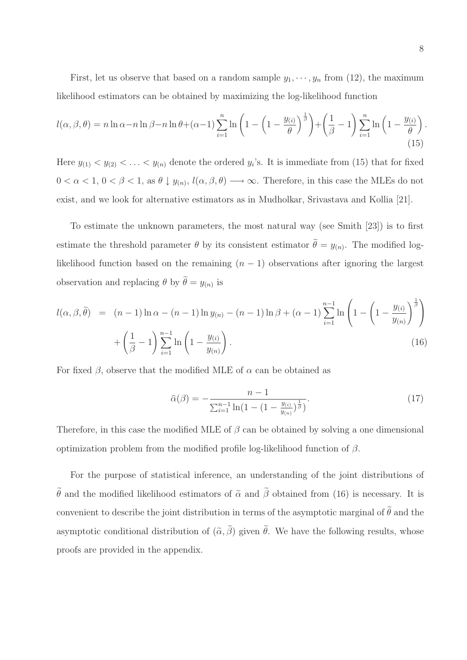First, let us observe that based on a random sample  $y_1, \dots, y_n$  from (12), the maximum likelihood estimators can be obtained by maximizing the log-likelihood function

$$
l(\alpha, \beta, \theta) = n \ln \alpha - n \ln \beta - n \ln \theta + (\alpha - 1) \sum_{i=1}^{n} \ln \left( 1 - \left( 1 - \frac{y_{(i)}}{\theta} \right)^{\frac{1}{\beta}} \right) + \left( \frac{1}{\beta} - 1 \right) \sum_{i=1}^{n} \ln \left( 1 - \frac{y_{(i)}}{\theta} \right).
$$
\n(15)

Here  $y_{(1)} < y_{(2)} < \ldots < y_{(n)}$  denote the ordered  $y_i$ 's. It is immediate from (15) that for fixed  $0 < \alpha < 1, 0 < \beta < 1$ , as  $\theta \downarrow y_{(n)}, l(\alpha, \beta, \theta) \longrightarrow \infty$ . Therefore, in this case the MLEs do not exist, and we look for alternative estimators as in Mudholkar, Srivastava and Kollia [21].

To estimate the unknown parameters, the most natural way (see Smith [23]) is to first estimate the threshold parameter  $\theta$  by its consistent estimator  $\theta = y_{(n)}$ . The modified loglikelihood function based on the remaining  $(n - 1)$  observations after ignoring the largest observation and replacing  $\theta$  by  $\theta = y_{(n)}$  is

$$
l(\alpha, \beta, \tilde{\theta}) = (n-1)\ln \alpha - (n-1)\ln y_{(n)} - (n-1)\ln \beta + (\alpha - 1)\sum_{i=1}^{n-1} \ln \left(1 - \left(1 - \frac{y_{(i)}}{y_{(n)}}\right)^{\frac{1}{\beta}}\right) + \left(\frac{1}{\beta} - 1\right)\sum_{i=1}^{n-1} \ln \left(1 - \frac{y_{(i)}}{y_{(n)}}\right).
$$
\n(16)

For fixed  $\beta$ , observe that the modified MLE of  $\alpha$  can be obtained as

$$
\widehat{\alpha}(\beta) = -\frac{n-1}{\sum_{i=1}^{n-1} \ln(1 - (1 - \frac{y_{(i)}}{y_{(n)}})^{\frac{1}{\beta}})}.
$$
\n(17)

Therefore, in this case the modified MLE of  $\beta$  can be obtained by solving a one dimensional optimization problem from the modified profile log-likelihood function of β.

For the purpose of statistical inference, an understanding of the joint distributions of  $\tilde{\theta}$  and the modified likelihood estimators of  $\tilde{\alpha}$  and  $\tilde{\beta}$  obtained from (16) is necessary. It is convenient to describe the joint distribution in terms of the asymptotic marginal of  $\tilde{\theta}$  and the asymptotic conditional distribution of  $(\tilde{\alpha}, \beta)$  given  $\theta$ . We have the following results, whose proofs are provided in the appendix.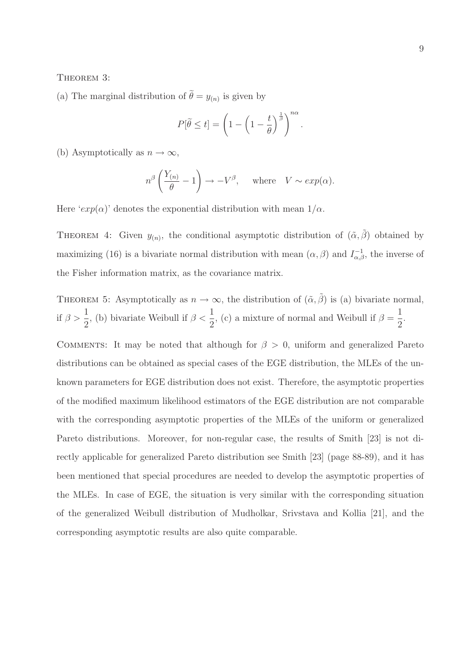#### THEOREM 3:

(a) The marginal distribution of  $\theta = y_{(n)}$  is given by

$$
P[\widetilde{\theta} \le t] = \left(1 - \left(1 - \frac{t}{\theta}\right)^{\frac{1}{\beta}}\right)^{n\alpha}.
$$

(b) Asymptotically as  $n \to \infty$ ,

$$
n^{\beta}\left(\frac{Y_{(n)}}{\theta} - 1\right) \to -V^{\beta}, \quad \text{where} \quad V \sim exp(\alpha).
$$

Here ' $exp(\alpha)$ ' denotes the exponential distribution with mean  $1/\alpha$ .

THEOREM 4: Given  $y_{(n)}$ , the conditional asymptotic distribution of  $(\tilde{\alpha}, \tilde{\beta})$  obtained by maximizing (16) is a bivariate normal distribution with mean  $(\alpha, \beta)$  and  $I_{\alpha, \beta}^{-1}$ , the inverse of the Fisher information matrix, as the covariance matrix.

THEOREM 5: Asymptotically as 
$$
n \to \infty
$$
, the distribution of  $(\tilde{\alpha}, \tilde{\beta})$  is (a) bivariate normal,  
if  $\beta > \frac{1}{2}$ , (b) bivariate Weibull if  $\beta < \frac{1}{2}$ , (c) a mixture of normal and Weibull if  $\beta = \frac{1}{2}$ .

COMMENTS: It may be noted that although for  $\beta > 0$ , uniform and generalized Pareto distributions can be obtained as special cases of the EGE distribution, the MLEs of the unknown parameters for EGE distribution does not exist. Therefore, the asymptotic properties of the modified maximum likelihood estimators of the EGE distribution are not comparable with the corresponding asymptotic properties of the MLEs of the uniform or generalized Pareto distributions. Moreover, for non-regular case, the results of Smith [23] is not directly applicable for generalized Pareto distribution see Smith [23] (page 88-89), and it has been mentioned that special procedures are needed to develop the asymptotic properties of the MLEs. In case of EGE, the situation is very similar with the corresponding situation of the generalized Weibull distribution of Mudholkar, Srivstava and Kollia [21], and the corresponding asymptotic results are also quite comparable.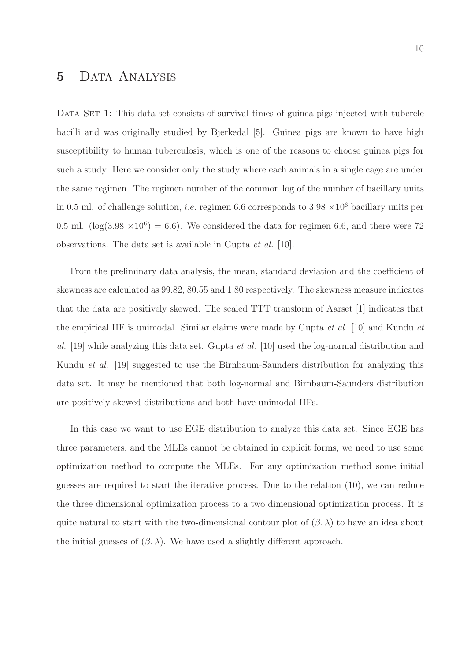# 5 Data Analysis

DATA SET 1: This data set consists of survival times of guinea pigs injected with tubercle bacilli and was originally studied by Bjerkedal [5]. Guinea pigs are known to have high susceptibility to human tuberculosis, which is one of the reasons to choose guinea pigs for such a study. Here we consider only the study where each animals in a single cage are under the same regimen. The regimen number of the common log of the number of bacillary units in 0.5 ml. of challenge solution, *i.e.* regimen 6.6 corresponds to 3.98  $\times 10^6$  bacillary units per 0.5 ml. ( $log(3.98 \times 10^6) = 6.6$ ). We considered the data for regimen 6.6, and there were 72 observations. The data set is available in Gupta et al. [10].

From the preliminary data analysis, the mean, standard deviation and the coefficient of skewness are calculated as 99.82, 80.55 and 1.80 respectively. The skewness measure indicates that the data are positively skewed. The scaled TTT transform of Aarset [1] indicates that the empirical HF is unimodal. Similar claims were made by Gupta  $et al.$  [10] and Kundu  $et$ al. [19] while analyzing this data set. Gupta *et al.* [10] used the log-normal distribution and Kundu et al. [19] suggested to use the Birnbaum-Saunders distribution for analyzing this data set. It may be mentioned that both log-normal and Birnbaum-Saunders distribution are positively skewed distributions and both have unimodal HFs.

In this case we want to use EGE distribution to analyze this data set. Since EGE has three parameters, and the MLEs cannot be obtained in explicit forms, we need to use some optimization method to compute the MLEs. For any optimization method some initial guesses are required to start the iterative process. Due to the relation (10), we can reduce the three dimensional optimization process to a two dimensional optimization process. It is quite natural to start with the two-dimensional contour plot of  $(\beta, \lambda)$  to have an idea about the initial guesses of  $(\beta, \lambda)$ . We have used a slightly different approach.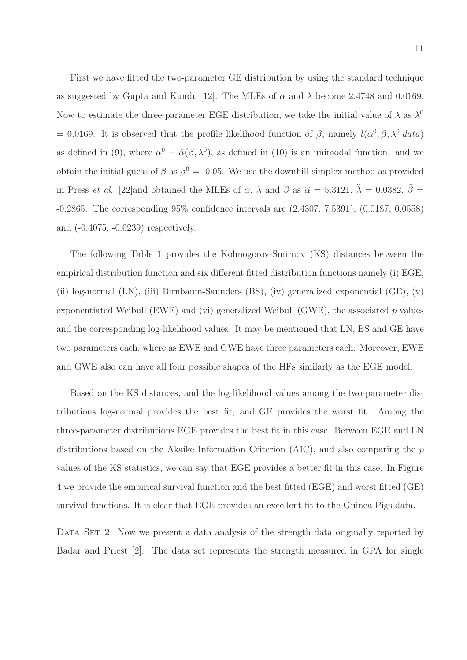First we have fitted the two-parameter GE distribution by using the standard technique as suggested by Gupta and Kundu [12]. The MLEs of  $\alpha$  and  $\lambda$  become 2.4748 and 0.0169. Now to estimate the three-parameter EGE distribution, we take the initial value of  $\lambda$  as  $\lambda^0$ = 0.0169. It is observed that the profile likelihood function of  $\beta$ , namely  $l(\alpha^0, \beta, \lambda^0 | data)$ as defined in (9), where  $\alpha^0 = \hat{\alpha}(\beta, \lambda^0)$ , as defined in (10) is an unimodal function. and we obtain the initial guess of  $\beta$  as  $\beta^0 = -0.05$ . We use the downhill simplex method as provided in Press *et al.* [22]and obtained the MLEs of  $\alpha$ ,  $\lambda$  and  $\beta$  as  $\hat{\alpha} = 5.3121$ ,  $\hat{\lambda} = 0.0382$ ,  $\hat{\beta} =$ -0.2865. The corresponding 95% confidence intervals are (2.4307, 7.5391), (0.0187, 0.0558) and (-0.4075, -0.0239) respectively.

The following Table 1 provides the Kolmogorov-Smirnov (KS) distances between the empirical distribution function and six different fitted distribution functions namely (i) EGE, (ii) log-normal (LN), (iii) Birnbaum-Saunders (BS), (iv) generalized exponential (GE), (v) exponentiated Weibull (EWE) and (vi) generalized Weibull (GWE), the associated  $p$  values and the corresponding log-likelihood values. It may be mentioned that LN, BS and GE have two parameters each, where as EWE and GWE have three parameters each. Moreover, EWE and GWE also can have all four possible shapes of the HFs similarly as the EGE model.

Based on the KS distances, and the log-likelihood values among the two-parameter distributions log-normal provides the best fit, and GE provides the worst fit. Among the three-parameter distributions EGE provides the best fit in this case. Between EGE and LN distributions based on the Akaike Information Criterion (AIC), and also comparing the p values of the KS statistics, we can say that EGE provides a better fit in this case. In Figure 4 we provide the empirical survival function and the best fitted (EGE) and worst fitted (GE) survival functions. It is clear that EGE provides an excellent fit to the Guinea Pigs data.

DATA SET 2: Now we present a data analysis of the strength data originally reported by Badar and Priest [2]. The data set represents the strength measured in GPA for single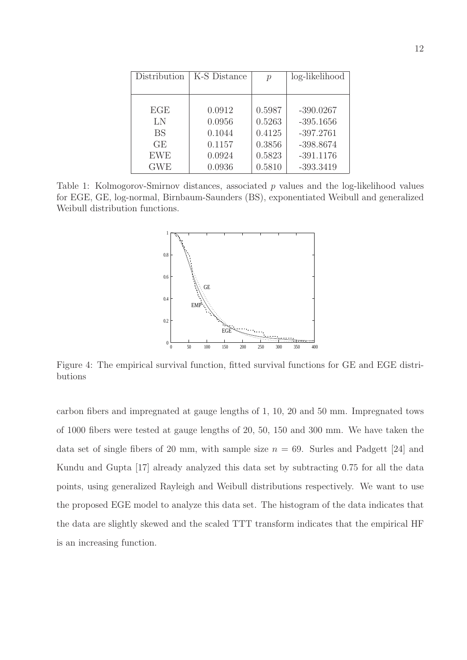| Distribution | K-S Distance | $\mathcal{p}$ | log-likelihood |
|--------------|--------------|---------------|----------------|
|              |              |               |                |
|              |              |               |                |
| EGE          | 0.0912       | 0.5987        | $-390.0267$    |
| LN           | 0.0956       | 0.5263        | $-395.1656$    |
| <b>BS</b>    | 0.1044       | 0.4125        | $-397.2761$    |
| GE           | 0.1157       | 0.3856        | $-398.8674$    |
| <b>EWE</b>   | 0.0924       | 0.5823        | $-391.1176$    |
| <b>GWE</b>   | 0.0936       | 0.5810        | $-393.3419$    |

Table 1: Kolmogorov-Smirnov distances, associated p values and the log-likelihood values for EGE, GE, log-normal, Birnbaum-Saunders (BS), exponentiated Weibull and generalized Weibull distribution functions.



Figure 4: The empirical survival function, fitted survival functions for GE and EGE distributions

carbon fibers and impregnated at gauge lengths of 1, 10, 20 and 50 mm. Impregnated tows of 1000 fibers were tested at gauge lengths of 20, 50, 150 and 300 mm. We have taken the data set of single fibers of 20 mm, with sample size  $n = 69$ . Surles and Padgett [24] and Kundu and Gupta [17] already analyzed this data set by subtracting 0.75 for all the data points, using generalized Rayleigh and Weibull distributions respectively. We want to use the proposed EGE model to analyze this data set. The histogram of the data indicates that the data are slightly skewed and the scaled TTT transform indicates that the empirical HF is an increasing function.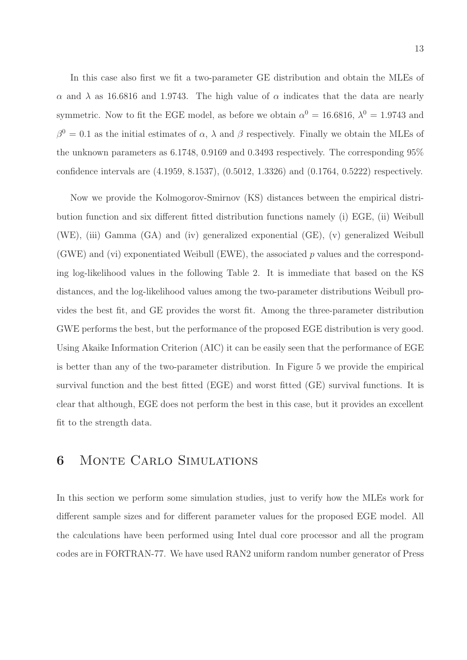In this case also first we fit a two-parameter GE distribution and obtain the MLEs of α and  $\lambda$  as 16.6816 and 1.9743. The high value of α indicates that the data are nearly symmetric. Now to fit the EGE model, as before we obtain  $\alpha^0 = 16.6816$ ,  $\lambda^0 = 1.9743$  and  $\beta^0 = 0.1$  as the initial estimates of  $\alpha$ ,  $\lambda$  and  $\beta$  respectively. Finally we obtain the MLEs of the unknown parameters as 6.1748, 0.9169 and 0.3493 respectively. The corresponding 95% confidence intervals are (4.1959, 8.1537), (0.5012, 1.3326) and (0.1764, 0.5222) respectively.

Now we provide the Kolmogorov-Smirnov (KS) distances between the empirical distribution function and six different fitted distribution functions namely (i) EGE, (ii) Weibull (WE), (iii) Gamma (GA) and (iv) generalized exponential (GE), (v) generalized Weibull (GWE) and (vi) exponentiated Weibull (EWE), the associated  $p$  values and the corresponding log-likelihood values in the following Table 2. It is immediate that based on the KS distances, and the log-likelihood values among the two-parameter distributions Weibull provides the best fit, and GE provides the worst fit. Among the three-parameter distribution GWE performs the best, but the performance of the proposed EGE distribution is very good. Using Akaike Information Criterion (AIC) it can be easily seen that the performance of EGE is better than any of the two-parameter distribution. In Figure 5 we provide the empirical survival function and the best fitted (EGE) and worst fitted (GE) survival functions. It is clear that although, EGE does not perform the best in this case, but it provides an excellent fit to the strength data.

### 6 Monte Carlo Simulations

In this section we perform some simulation studies, just to verify how the MLEs work for different sample sizes and for different parameter values for the proposed EGE model. All the calculations have been performed using Intel dual core processor and all the program codes are in FORTRAN-77. We have used RAN2 uniform random number generator of Press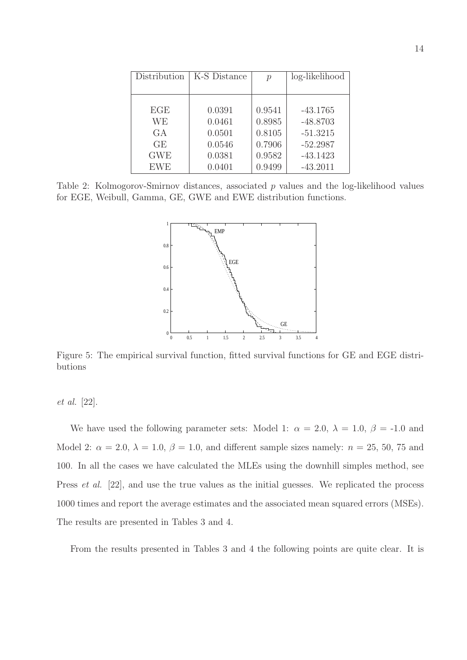| Distribution | K-S Distance | $\mathcal{p}$ | log-likelihood |
|--------------|--------------|---------------|----------------|
|              |              |               |                |
|              |              |               |                |
| EGE          | 0.0391       | 0.9541        | $-43.1765$     |
| WЕ           | 0.0461       | 0.8985        | $-48.8703$     |
| G A          | 0.0501       | 0.8105        | $-51.3215$     |
| GE           | 0.0546       | 0.7906        | $-52.2987$     |
| <b>GWE</b>   | 0.0381       | 0.9582        | $-43.1423$     |
| <b>EWE</b>   | 0.0401       | 0.9499        | $-43.2011$     |

Table 2: Kolmogorov-Smirnov distances, associated p values and the log-likelihood values for EGE, Weibull, Gamma, GE, GWE and EWE distribution functions.



Figure 5: The empirical survival function, fitted survival functions for GE and EGE distributions

et al. [22].

We have used the following parameter sets: Model 1:  $\alpha = 2.0, \lambda = 1.0, \beta = -1.0$  and Model 2:  $\alpha = 2.0, \lambda = 1.0, \beta = 1.0,$  and different sample sizes namely:  $n = 25, 50, 75$  and 100. In all the cases we have calculated the MLEs using the downhill simples method, see Press et al. [22], and use the true values as the initial guesses. We replicated the process 1000 times and report the average estimates and the associated mean squared errors (MSEs). The results are presented in Tables 3 and 4.

From the results presented in Tables 3 and 4 the following points are quite clear. It is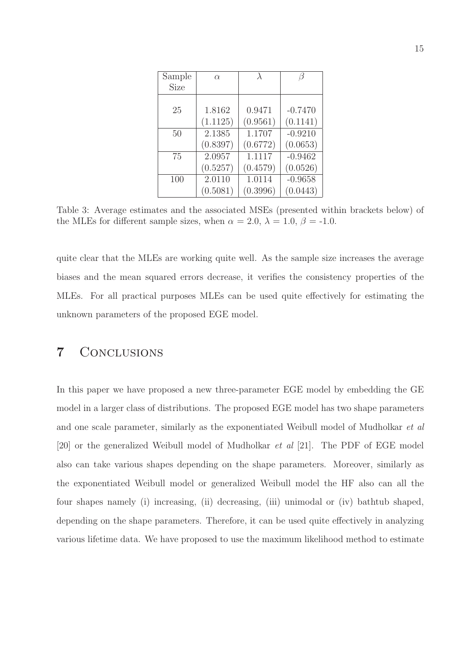| Sample | $\alpha$ | $\lambda$ |           |
|--------|----------|-----------|-----------|
| Size   |          |           |           |
|        |          |           |           |
| 25     | 1.8162   | 0.9471    | $-0.7470$ |
|        | (1.1125) | (0.9561)  | (0.1141)  |
| 50     | 2.1385   | 1.1707    | $-0.9210$ |
|        | (0.8397) | (0.6772)  | (0.0653)  |
| 75     | 2.0957   | 1.1117    | $-0.9462$ |
|        | (0.5257) | (0.4579)  | (0.0526)  |
| 100    | 2.0110   | 1.0114    | $-0.9658$ |
|        | (0.5081) | (0.3996)  | (0.0443)  |

Table 3: Average estimates and the associated MSEs (presented within brackets below) of the MLEs for different sample sizes, when  $\alpha = 2.0, \lambda = 1.0, \beta = -1.0$ .

quite clear that the MLEs are working quite well. As the sample size increases the average biases and the mean squared errors decrease, it verifies the consistency properties of the MLEs. For all practical purposes MLEs can be used quite effectively for estimating the unknown parameters of the proposed EGE model.

# 7 Conclusions

In this paper we have proposed a new three-parameter EGE model by embedding the GE model in a larger class of distributions. The proposed EGE model has two shape parameters and one scale parameter, similarly as the exponentiated Weibull model of Mudholkar et al [20] or the generalized Weibull model of Mudholkar et al [21]. The PDF of EGE model also can take various shapes depending on the shape parameters. Moreover, similarly as the exponentiated Weibull model or generalized Weibull model the HF also can all the four shapes namely (i) increasing, (ii) decreasing, (iii) unimodal or (iv) bathtub shaped, depending on the shape parameters. Therefore, it can be used quite effectively in analyzing various lifetime data. We have proposed to use the maximum likelihood method to estimate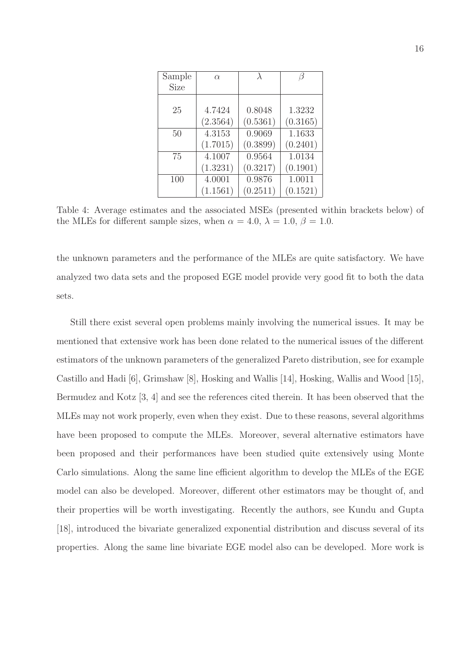| Sample | $\alpha$ | $\lambda$ |          |
|--------|----------|-----------|----------|
| Size   |          |           |          |
|        |          |           |          |
| 25     | 4.7424   | 0.8048    | 1.3232   |
|        | (2.3564) | (0.5361)  | (0.3165) |
| 50     | 4.3153   | 0.9069    | 1.1633   |
|        | (1.7015) | (0.3899)  | (0.2401) |
| 75     | 4.1007   | 0.9564    | 1.0134   |
|        | (1.3231) | (0.3217)  | (0.1901) |
| 100    | 4.0001   | 0.9876    | 1.0011   |
|        | (1.1561) | (0.2511)  | (0.1521) |

Table 4: Average estimates and the associated MSEs (presented within brackets below) of the MLEs for different sample sizes, when  $\alpha = 4.0, \lambda = 1.0, \beta = 1.0$ .

the unknown parameters and the performance of the MLEs are quite satisfactory. We have analyzed two data sets and the proposed EGE model provide very good fit to both the data sets.

Still there exist several open problems mainly involving the numerical issues. It may be mentioned that extensive work has been done related to the numerical issues of the different estimators of the unknown parameters of the generalized Pareto distribution, see for example Castillo and Hadi [6], Grimshaw [8], Hosking and Wallis [14], Hosking, Wallis and Wood [15], Bermudez and Kotz [3, 4] and see the references cited therein. It has been observed that the MLEs may not work properly, even when they exist. Due to these reasons, several algorithms have been proposed to compute the MLEs. Moreover, several alternative estimators have been proposed and their performances have been studied quite extensively using Monte Carlo simulations. Along the same line efficient algorithm to develop the MLEs of the EGE model can also be developed. Moreover, different other estimators may be thought of, and their properties will be worth investigating. Recently the authors, see Kundu and Gupta [18], introduced the bivariate generalized exponential distribution and discuss several of its properties. Along the same line bivariate EGE model also can be developed. More work is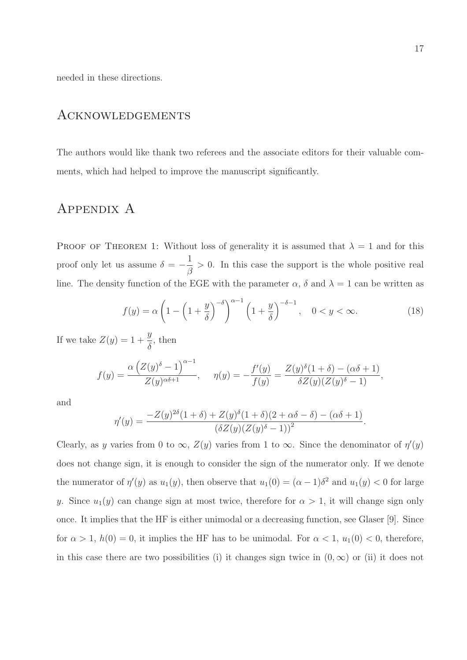needed in these directions.

#### Acknowledgements

The authors would like thank two referees and the associate editors for their valuable comments, which had helped to improve the manuscript significantly.

### Appendix A

PROOF OF THEOREM 1: Without loss of generality it is assumed that  $\lambda = 1$  and for this proof only let us assume  $\delta = -$ 1 β > 0. In this case the support is the whole positive real line. The density function of the EGE with the parameter  $\alpha$ ,  $\delta$  and  $\lambda = 1$  can be written as

$$
f(y) = \alpha \left( 1 - \left( 1 + \frac{y}{\delta} \right)^{-\delta} \right)^{\alpha - 1} \left( 1 + \frac{y}{\delta} \right)^{-\delta - 1}, \quad 0 < y < \infty. \tag{18}
$$

If we take  $Z(y) = 1 + \frac{y}{s}$  $\delta$ , then

$$
f(y) = \frac{\alpha \left( Z(y)^{\delta} - 1 \right)^{\alpha - 1}}{Z(y)^{\alpha \delta + 1}}, \quad \eta(y) = -\frac{f'(y)}{f(y)} = \frac{Z(y)^{\delta} (1 + \delta) - (\alpha \delta + 1)}{\delta Z(y) (Z(y)^{\delta} - 1)},
$$

and

$$
\eta'(y) = \frac{-Z(y)^{2\delta}(1+\delta) + Z(y)^{\delta}(1+\delta)(2+\alpha\delta-\delta) - (\alpha\delta+1)}{(\delta Z(y)(Z(y)^{\delta}-1))^2}.
$$

Clearly, as y varies from 0 to  $\infty$ ,  $Z(y)$  varies from 1 to  $\infty$ . Since the denominator of  $\eta'(y)$ does not change sign, it is enough to consider the sign of the numerator only. If we denote the numerator of  $\eta'(y)$  as  $u_1(y)$ , then observe that  $u_1(0) = (\alpha - 1)\delta^2$  and  $u_1(y) < 0$  for large y. Since  $u_1(y)$  can change sign at most twice, therefore for  $\alpha > 1$ , it will change sign only once. It implies that the HF is either unimodal or a decreasing function, see Glaser [9]. Since for  $\alpha > 1$ ,  $h(0) = 0$ , it implies the HF has to be unimodal. For  $\alpha < 1$ ,  $u_1(0) < 0$ , therefore, in this case there are two possibilities (i) it changes sign twice in  $(0, \infty)$  or (ii) it does not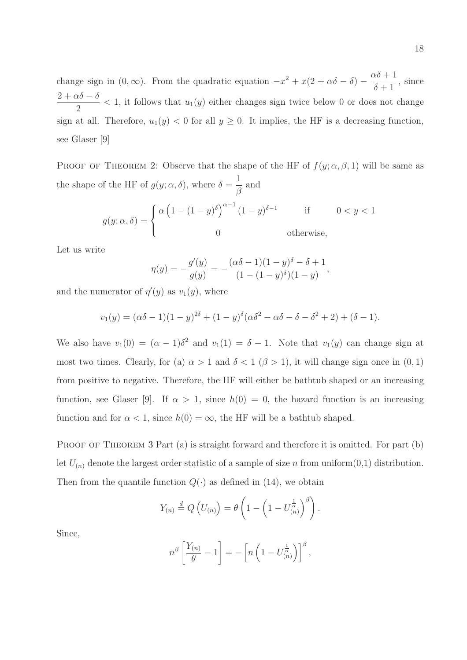change sign in  $(0, \infty)$ . From the quadratic equation  $-x^2 + x(2 + \alpha\delta - \delta) - \frac{\alpha\delta + 1}{\delta + 1}$  $\delta + 1$ , since  $\frac{2+\alpha\delta-\delta}{\sigma}$  $\frac{2}{2}$  < 1, it follows that  $u_1(y)$  either changes sign twice below 0 or does not change sign at all. Therefore,  $u_1(y) < 0$  for all  $y \ge 0$ . It implies, the HF is a decreasing function, see Glaser [9]

PROOF OF THEOREM 2: Observe that the shape of the HF of  $f(y; \alpha, \beta, 1)$  will be same as the shape of the HF of  $g(y; \alpha, \delta)$ , where  $\delta =$ 1 β and

$$
g(y; \alpha, \delta) = \begin{cases} \alpha \left(1 - (1 - y)^{\delta}\right)^{\alpha - 1} (1 - y)^{\delta - 1} & \text{if } 0 < y < 1 \\ 0 & \text{otherwise,} \end{cases}
$$

Let us write

$$
\eta(y) = -\frac{g'(y)}{g(y)} = -\frac{(\alpha\delta - 1)(1 - y)^{\delta} - \delta + 1}{(1 - (1 - y)^{\delta})(1 - y)}
$$

,

and the numerator of  $\eta'(y)$  as  $v_1(y)$ , where

$$
v_1(y) = (\alpha \delta - 1)(1 - y)^{2\delta} + (1 - y)^{\delta}(\alpha \delta^2 - \alpha \delta - \delta - \delta^2 + 2) + (\delta - 1).
$$

We also have  $v_1(0) = (\alpha - 1)\delta^2$  and  $v_1(1) = \delta - 1$ . Note that  $v_1(y)$  can change sign at most two times. Clearly, for (a)  $\alpha > 1$  and  $\delta < 1$  ( $\beta > 1$ ), it will change sign once in (0, 1) from positive to negative. Therefore, the HF will either be bathtub shaped or an increasing function, see Glaser [9]. If  $\alpha > 1$ , since  $h(0) = 0$ , the hazard function is an increasing function and for  $\alpha < 1$ , since  $h(0) = \infty$ , the HF will be a bathtub shaped.

PROOF OF THEOREM 3 Part (a) is straight forward and therefore it is omitted. For part (b) let  $U_{(n)}$  denote the largest order statistic of a sample of size n from uniform $(0,1)$  distribution. Then from the quantile function  $Q(\cdot)$  as defined in (14), we obtain

$$
Y_{(n)} \stackrel{d}{=} Q\left(U_{(n)}\right) = \theta\left(1 - \left(1 - U_{(n)}^{\frac{1}{\alpha}}\right)^{\beta}\right).
$$

Since,

$$
n^{\beta} \left[ \frac{Y_{(n)}}{\theta} - 1 \right] = - \left[ n \left( 1 - U_{(n)}^{\frac{1}{\alpha}} \right) \right]^{\beta},
$$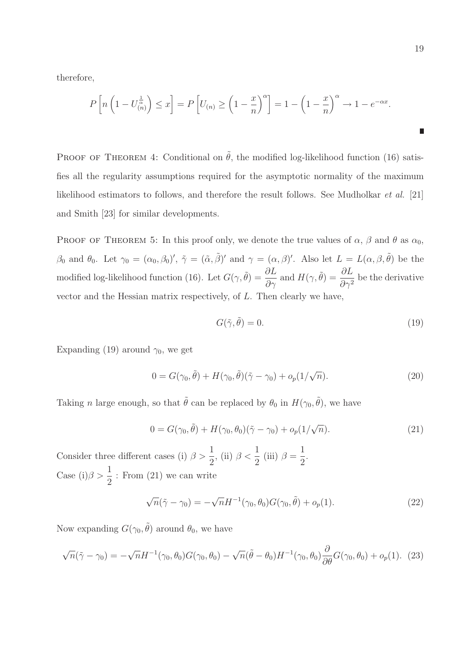therefore,

$$
P\left[n\left(1-U_{(n)}^{\frac{1}{\alpha}}\right)\leq x\right] = P\left[U_{(n)}\geq \left(1-\frac{x}{n}\right)^{\alpha}\right] = 1-\left(1-\frac{x}{n}\right)^{\alpha} \to 1-e^{-\alpha x}.
$$

PROOF OF THEOREM 4: Conditional on  $\tilde{\theta}$ , the modified log-likelihood function (16) satisfies all the regularity assumptions required for the asymptotic normality of the maximum likelihood estimators to follows, and therefore the result follows. See Mudholkar et al. [21] and Smith [23] for similar developments.

PROOF OF THEOREM 5: In this proof only, we denote the true values of  $\alpha$ ,  $\beta$  and  $\theta$  as  $\alpha_0$ ,  $\beta_0$  and  $\theta_0$ . Let  $\gamma_0 = (\alpha_0, \beta_0)'$ ,  $\tilde{\gamma} = (\tilde{\alpha}, \tilde{\beta})'$  and  $\gamma = (\alpha, \beta)'$ . Also let  $L = L(\alpha, \beta, \tilde{\theta})$  be the modified log-likelihood function (16). Let  $G(\gamma, \tilde{\theta}) = \frac{\partial L}{\partial \gamma}$  and  $H(\gamma, \tilde{\theta}) = \frac{\partial L}{\partial \gamma^2}$  be the derivative vector and the Hessian matrix respectively, of L. Then clearly we have,

$$
G(\tilde{\gamma}, \tilde{\theta}) = 0. \tag{19}
$$

Expanding (19) around  $\gamma_0$ , we get

$$
0 = G(\gamma_0, \tilde{\theta}) + H(\gamma_0, \tilde{\theta})(\tilde{\gamma} - \gamma_0) + o_p(1/\sqrt{n}). \tag{20}
$$

Taking *n* large enough, so that  $\tilde{\theta}$  can be replaced by  $\theta_0$  in  $H(\gamma_0, \tilde{\theta})$ , we have

$$
0 = G(\gamma_0, \tilde{\theta}) + H(\gamma_0, \theta_0)(\tilde{\gamma} - \gamma_0) + o_p(1/\sqrt{n}).
$$
\n(21)

1 2 .

Consider three different cases (i)  $\beta > \frac{1}{2}$ 2 , (ii)  $\beta < \frac{1}{2}$ 2 (iii)  $\beta =$ Case (i) $\beta > \frac{1}{2}$ 2 : From (21) we can write

$$
\sqrt{n}(\tilde{\gamma} - \gamma_0) = -\sqrt{n}H^{-1}(\gamma_0, \theta_0)G(\gamma_0, \tilde{\theta}) + o_p(1). \tag{22}
$$

Now expanding  $G(\gamma_0, \tilde{\theta})$  around  $\theta_0$ , we have

$$
\sqrt{n}(\tilde{\gamma} - \gamma_0) = -\sqrt{n}H^{-1}(\gamma_0, \theta_0)G(\gamma_0, \theta_0) - \sqrt{n}(\tilde{\theta} - \theta_0)H^{-1}(\gamma_0, \theta_0)\frac{\partial}{\partial \theta}G(\gamma_0, \theta_0) + o_p(1). \tag{23}
$$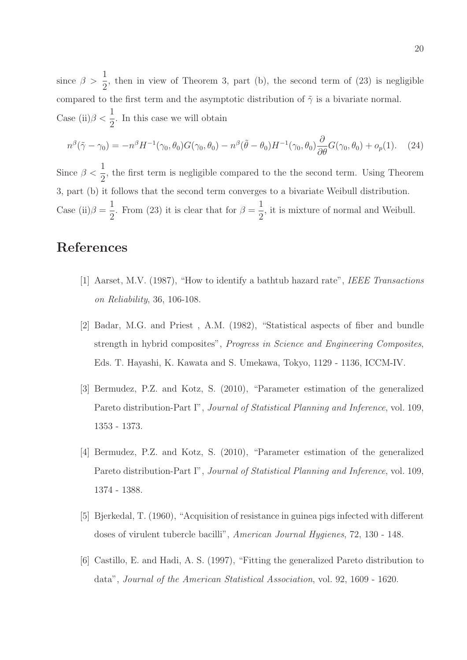since  $\beta > \frac{1}{2}$ 2 , then in view of Theorem 3, part (b), the second term of (23) is negligible compared to the first term and the asymptotic distribution of  $\tilde{\gamma}$  is a bivariate normal. Case (ii) $\beta < \frac{1}{2}$ 2 . In this case we will obtain

$$
n^{\beta}(\tilde{\gamma}-\gamma_0)=-n^{\beta}H^{-1}(\gamma_0,\theta_0)G(\gamma_0,\theta_0)-n^{\beta}(\tilde{\theta}-\theta_0)H^{-1}(\gamma_0,\theta_0)\frac{\partial}{\partial\theta}G(\gamma_0,\theta_0)+o_p(1).
$$
 (24)

Since  $\beta < \frac{1}{2}$ 2 , the first term is negligible compared to the the second term. Using Theorem 3, part (b) it follows that the second term converges to a bivariate Weibull distribution. Case (ii) $\beta =$ 1 2 . From (23) it is clear that for  $\beta =$ 1 2 , it is mixture of normal and Weibull.

# References

- [1] Aarset, M.V. (1987), "How to identify a bathtub hazard rate", IEEE Transactions on Reliability, 36, 106-108.
- [2] Badar, M.G. and Priest , A.M. (1982), "Statistical aspects of fiber and bundle strength in hybrid composites", Progress in Science and Engineering Composites, Eds. T. Hayashi, K. Kawata and S. Umekawa, Tokyo, 1129 - 1136, ICCM-IV.
- [3] Bermudez, P.Z. and Kotz, S. (2010), "Parameter estimation of the generalized Pareto distribution-Part I", Journal of Statistical Planning and Inference, vol. 109, 1353 - 1373.
- [4] Bermudez, P.Z. and Kotz, S. (2010), "Parameter estimation of the generalized Pareto distribution-Part I", Journal of Statistical Planning and Inference, vol. 109, 1374 - 1388.
- [5] Bjerkedal, T. (1960), "Acquisition of resistance in guinea pigs infected with different doses of virulent tubercle bacilli", American Journal Hygienes, 72, 130 - 148.
- [6] Castillo, E. and Hadi, A. S. (1997), "Fitting the generalized Pareto distribution to data", Journal of the American Statistical Association, vol. 92, 1609 - 1620.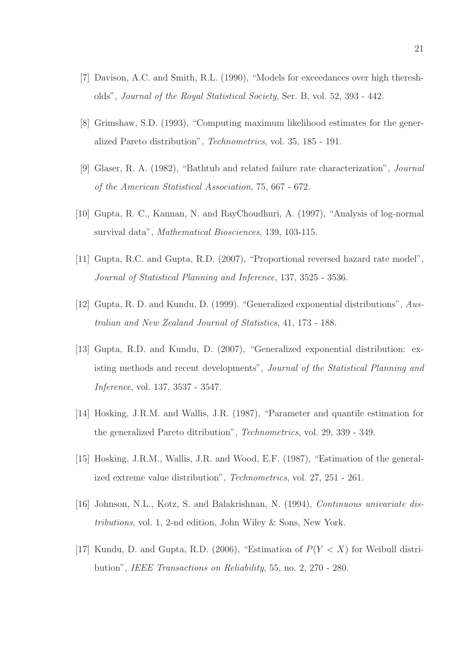- [7] Davison, A.C. and Smith, R.L. (1990), "Models for exceedances over high theresholds", Journal of the Royal Statistical Society, Ser. B, vol. 52, 393 - 442.
- [8] Grimshaw, S.D. (1993), "Computing maximum likelihood estimates for the generalized Pareto distribution", Technometrics, vol. 35, 185 - 191.
- [9] Glaser, R. A. (1982), "Bathtub and related failure rate characterization", Journal of the American Statistical Association, 75, 667 - 672.
- [10] Gupta, R. C., Kannan, N. and RayChoudhuri, A. (1997), "Analysis of log-normal survival data", Mathematical Biosciences, 139, 103-115.
- [11] Gupta, R.C. and Gupta, R.D. (2007), "Proportional reversed hazard rate model", Journal of Statistical Planning and Inference, 137, 3525 - 3536.
- [12] Gupta, R. D. and Kundu, D. (1999). "Generalized exponential distributions", Australian and New Zealand Journal of Statistics, 41, 173 - 188.
- [13] Gupta, R.D. and Kundu, D. (2007), "Generalized exponential distribution: existing methods and recent developments", Journal of the Statistical Planning and Inference, vol. 137, 3537 - 3547.
- [14] Hosking, J.R.M. and Wallis, J.R. (1987), "Parameter and quantile estimation for the generalized Pareto ditribution", Technometrics, vol. 29, 339 - 349.
- [15] Hosking, J.R.M., Wallis, J.R. and Wood, E.F. (1987), "Estimation of the generalized extreme value distribution", Technometrics, vol. 27, 251 - 261.
- [16] Johnson, N.L., Kotz, S. and Balakrishnan, N. (1994), Continuous univariate distributions, vol. 1, 2-nd edition, John Wiley & Sons, New York.
- [17] Kundu, D. and Gupta, R.D. (2006), "Estimation of  $P(Y < X)$  for Weibull distribution", IEEE Transactions on Reliability, 55, no. 2, 270 - 280.